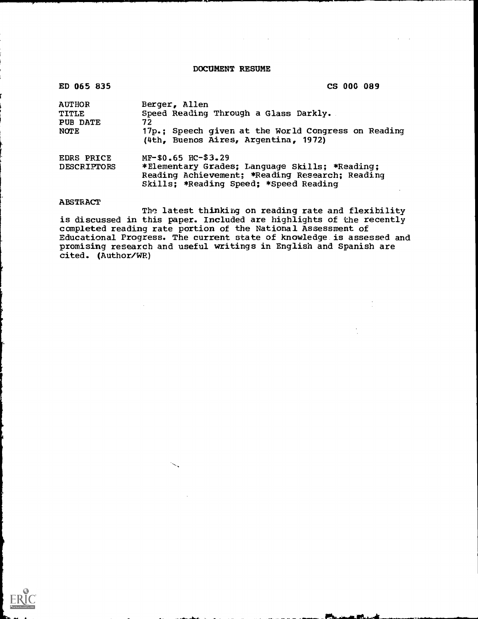DOCUMENT RESUME

 $\sim 10^{11}$  km  $^{-1}$ 

 $\mathcal{L}^{\text{max}}_{\text{max}}$  and  $\mathcal{L}^{\text{max}}_{\text{max}}$ 

| ED 065 835                                               | CS 000 089                                                                                                                                                         |
|----------------------------------------------------------|--------------------------------------------------------------------------------------------------------------------------------------------------------------------|
| <b>AUTHOR</b><br><b>TITLE</b><br>PUB DATE<br><b>NOTE</b> | Berger, Allen<br>Speed Reading Through a Glass Darkly.<br>72<br>17p.: Speech given at the World Congress on Reading<br>(4th, Buenos Aires, Argentina, 1972)        |
| <b>EDRS PRICE</b><br><b>DESCRIPTORS</b>                  | MF-\$0.65 HC-\$3.29<br>*Elementary Grades; Language Skills; *Reading;<br>Reading Achievement; *Reading Research; Reading<br>Skills; *Reading Speed; *Speed Reading |

# AESTRACT

The latest thinking on reading rate and flexibility is discussed in this paper. Included are highlights of the recently completed reading rate portion of the National Assessment of Educational Progress. The current state of knowledge is assessed and promising research and useful writings in English and Spanish are cited. (Author/WR)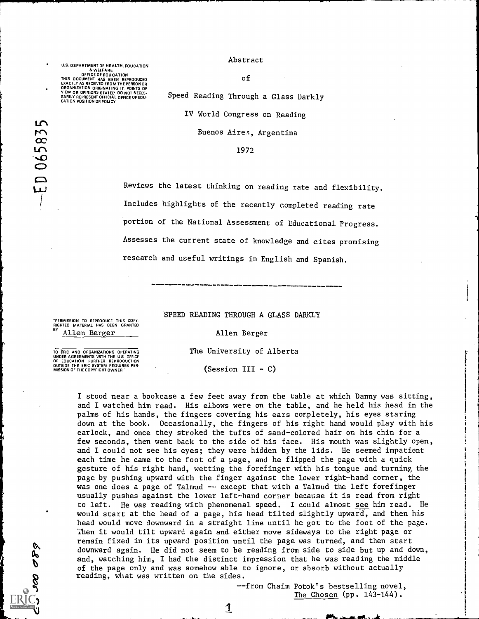Abstract

U.S. DEPARTMENT OF HEALTH, EDUCATION<br>DEFICE OF EDUCATION<br>THIS OCCUMENT HAS BEEN REPRODUCED<br>THIS OCCUMENT HAS BEEN REPRODUCED<br>EXACTLY AS RECEIVED FROM THE PERSON OR

**LO** 

ED 06583

ORGANIZATION ORIGINATING IT. POINTS OF VIEW OR OPINIONS STATED OO NOT NECES- SARILY REPRESENT OF CATION OF SAR<br>VIEW OR OPINIONS STATED OF NOT NECES- SARILY REPRESENT OF POLICY OF POLICY OF EDU- CATION POSITION OR POLICY

of

Speed Reading Through a Glass Darkly

IV World Congress on Reading

Buenos Aires, Argentina

1972

Reviews the latest thinking on reading rate and flexibility. Includes highlights of the recently completed reading rate portion of the National Assessment of Educational Progress. Assesses the current state of knowledge and cites promising research and useful writings in English and Spanish.

SPEED READING THROUGH A GLASS DARKLY

Allen Berger

TO ERIC AND ORGANIZATIONS OPERATING UNOER AGREEMENTS WITH THE U S OFFICE<br>OF EOUCATION FURTHER REPRODUCTION<br>OUTSIOE THE ERIC SYSTEM REQUIRES PER-<br>MISSION OF THE COPYRIGHT OWNER "

Allen Berger

%  $\mathcal{V}_0$  and  $\mathcal{V}_1$ 

V

''PERMISSION TO REPRODUCE THIS COPY .<br>RIGHTED MATERIAL HAS BEEN GRANTED

The University of Alberta

(Session III - C)

I stood near a bookcase a few feet away from the table at which Danny was sitting, and I watched him read. His elbows were on the table, and he held his head in the palms of his hands, the fingers covering his ears completely, his eyes staring down at the book. Occasionally, the fingers of his right hand would play with his earlock, and once they stroked the tufts of sand-colored hair on his chin for a few seconds, then went back to the side of his face. His mouth was slightly open, and I could not see his eyes; they were hidden by the lids. He seemed impatient each time he came to the foot of a page, and he flipped the page with a quick gesture of his right hand, wetting the forefinger with his tongue and turning the page by pushing upward with the finger against the lower right-hand corner, the was one does a page of Talmud -- except that with a Talmud the left forefinger usually pushes against the lower left-hand corner because it is read from right to left. He was reading with phenomenal speed. I could almost see him read. He would start at the head of a page, his head tilted slightly upward, and then his head would move downward in a straight line until he got to the foot of the page. Then it would tilt upward again and either move sideways to the right page or  $\alpha$  defined by  $\alpha$ remain fixed in its upward position until the page was turned, and then start downward again. He did not seem to be reading from side to side but up and down, and, watching him, I had the distinct impression that he was reading the middle of the page only and was somehow able to ignore, or absorb without actually reading, what was written on the sides.

> --from Chaim Potok's bestselling novel, The Chosen (pp. 143-144).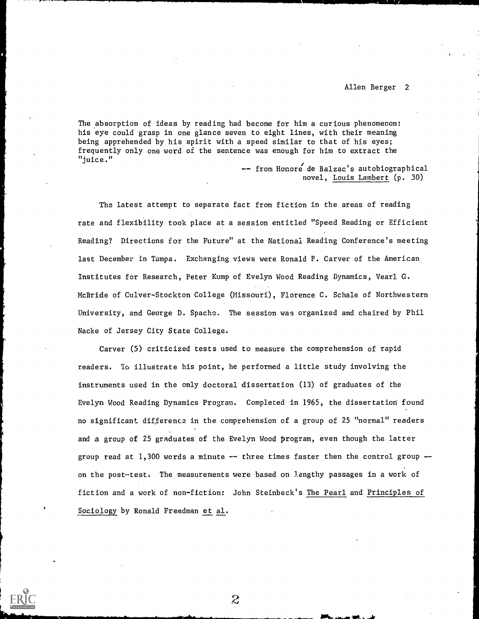The absorption of ideas by reading had become for him a curious phenomenon: his eye could grasp in one glance seven to eight lines, with their meaning being apprehended by his spirit with a speed similar to that of his eyes; frequently only one word of the sentence was enough for him to extract the "juice."

-- from Honore de Balzac's autobiographical novel, Louis Lambert (p. 30)

The latest attempt to separate fact from fiction in the areas of reading rate and flexibility took place at a session entitled "Speed Reading or Efficient Reading? Directions for the Future" at the National Reading Conference's meeting last December in Tampa. Exchanging views were Ronald P. Carver of the American Institutes for Research, Peter Kump of Evelyn Wood Reading Dynamics, Vearl G. McBride of Culver-Stockton College (Missouri), Florence C. Schale of Northwestern University, and George D. Spache. The session was organized and chaired by Phil Nacke of Jersey City State College.

Carver (5) criticized tests used to measure the comprehension of rapid readers. To illustrate his point, he performed a little study involving the instruments used in the only doctoral dissertation (13) of graduates of the Evelyn Wood Reading Dynamics Program. Completed in 1965, the dissertation found no significant difference in the comprehension of a group of 25 "normal" readers and a group of 25 graduates of the Evelyn Wood program, even though the latter group read at  $1,300$  words a minute  $-$  three times faster then the control group  $$ on the post-test. The measurements were based on lengthy passages in a work of fiction and a work of non-fiction: John Steinbeck's The Pearl and Principles of Sociology by Ronald Freedman et al.

 $\mathcal{Z}$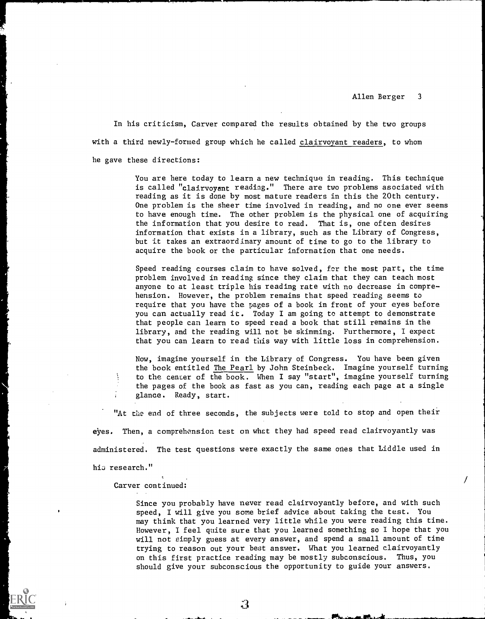In his criticism, Carver compared the results obtained by the two groups with a third newly-formed group which he called clairvoyant readers, to whom he gave these directions:

> You are here today to learn a new technique in reading. This technique is called "clairvoyant reading." There are two problems asociated with reading as it is done by most mature readers in this the 20th century. One problem is the sheer time involved in reading, and no one ever seems to have enough time. The other problem is the physical one of acquiring the information that you desire to read. That is, one often desires information that exists in a library, such as the Library of Congress, but it takes an extraordinary amount of time to go to the library to acquire the book or the particular information that one needs.

Speed reading courses claim to have solved, for the most part, the time problem involved in reading since they claim that they can teach most anyone to at least triple his reading rate with no decrease in comprehension. However, the problem remains that speed reading seems to require that you have the pages of a book in front of your eyes before you can actually read it. Today I am going to attempt to demonstrate that people can learn to speed read a book that still remains in the library, and the reading will not be skimming. Furthermore, I expect that you can learn to read this way with little loss in comprehension.

Now, imagine yourself in the Library of Congress. You have been given the book entitled The Pearl by John Steinbeck. Imagine yourself turning to the center of the book. When I say "start", imagine yourself turning  $\hspace{1cm}$ the pages of the book as fast as you can, reading each page at a single glance. Ready, start.

"At the end of three seconds, the subjects were told to stop and open their ayes. Then, a comprehension test on what they had speed read clairvoyantly was administered. The test questions ware exactly the same ones that Liddle used in hi3 research."

Carver continued:

Since you probably have never read clairvoyantly before, and with such speed, I will give you some brief advice about taking the test. You may think that you learned very little while you were reading this time. However, I feel quite sure that you learned something so I hope that you will not simply guess at every answer, and spend a small amount of time trying to reason out your best answer. What you learned clairvoyantly on this first practice reading may be mostly subconscious. Thus, you should give your subconscious the opportunity to guide your answers.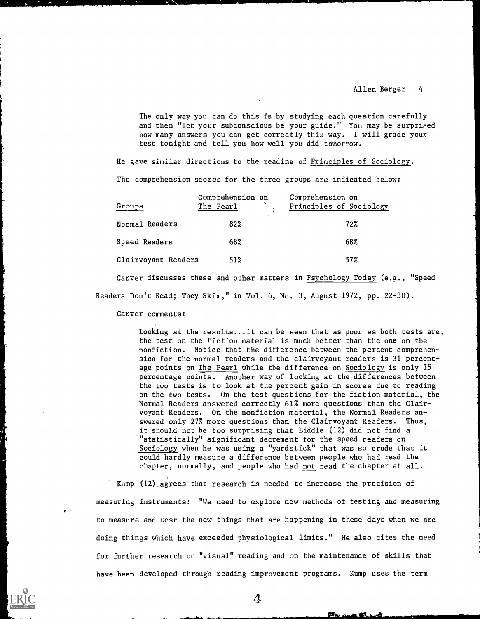The only way you can do this is by studying each question carefully and then "let your subconscious be your guide." You may be surprised how many answers you can get correctly this way. I will grade your test tonight and tell you how well you did tomorrow.

He gave similar directions to the reading of Principles of Sociology.

The comprehension scores for the three groups are indicated below:

| Groups              | Comprehension on<br>The Pearl | Comprehension on<br>Principles of Sociology |
|---------------------|-------------------------------|---------------------------------------------|
| Normal Readers      | $\sim$<br>82%                 | 72%                                         |
| Speed Readers       | 68%                           | 68%                                         |
| Clairvoyant Readers | 51%                           | 57%                                         |

Carver discusses these and other matters in Psychology Today (e.g., "Speed Readers Don't Read; They Skim," in Vol. 6, No. 3, August 1972, pp. 22-30).

Carver comments:

Looking at the results...it can be seen that as poor as both tests are, the test on the fiction material is much better than the one on the nonfiction. Notice that the difference between the percent comprehension for the normal readers and the clairvoyant readers is 31 percentage points on The Pearl while tbe difference on Sociology is only 15 percentage points. Another way of looking at the differences between the two tests is to look at the percent gain in scores due to reading on the two tests. On the test questions for the fiction material, the Normal Readers answered correctly 61% more questions than the Clairvoyant Readers. On the nonfiction material, the Normal Readers answered only 27% more questions than the Clairvoyant Readers. Thus, it should not be too surprising that Liddle (12) did not find a "statistically" significant decrement for the speed readers on Sociology when he was using a "yardstick" that was so crude that it could hardly measure a difference between people who had read the chapter, normally, and people who had not read the chapter at all.

Kump (12) agrees that research is needed to increase the precision of measuring instruments: "We need to explore new methods of testing and measuring to measure and test the new things that are happening in these days when we are doing things which have exceeded physiological limits." He also cites the need for further research on "visual" reading and on the maintenance of skills that have been developed through reading improvement programs. Kump uses the term

 $\mathbf 4$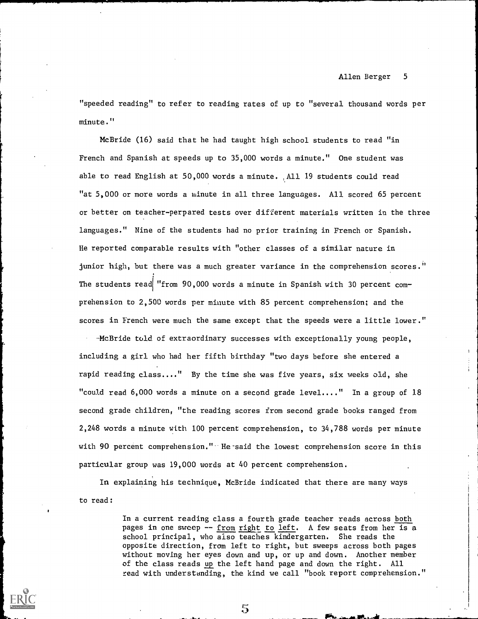"speeded reading" to refer to reading rates of up to "several thousand words per minute."

McBride (16) said that he had taught high school students to read "in French and Spanish at speeds up to 35,000 words a minute." One student was able to read English at 50,000 words a minute. All 19 students could read "at 5,000 or more words a minute in all three languages. All scored 65 percent or better on teacher-perpared tests over different materials written in the three languages." Nine of the students had no prior training in French or Spanish. He reported comparable results with "other classes of a similar nature in junior high, but there was a much greater variance in the comprehension scores." The students read "from 90,000 words a minute in Spanish with 30 percent comprehension to 2,500 words per minute with 85 percent comprehension; and the scores in French were much the same except that the speeds were a little lower."

-McBride told of extraordinary successes with exceptionally young people, including a girl who had her fifth birthday "two days before she entered a rapid reading class...." By the time she was five years, six weeks old, she "could read  $6,000$  words a minute on a second grade level...." In a group of  $18$ second grade children, "the reading scores from second grade books ranged from 2,248 words a minute with 100 percent comprehension, to 34,788 words per minute with 90 percent comprehension." He said the lowest comprehension score in this particular group was 19,000 words at 40 percent comprehension.

In explaining his technique, McBride indicated that there are many ways to read:

> In a current reading class a fourth grade teacher reads across both pages in one sweep -- from right to left. A few seats from her is a school principal, who aiso teaches kindergarten. She reads the opposite direction, from left to right, but sweeps across both pages without moving her eyes down and up, or up and down. Another member of the class reads up the left hand page and down the right. All read with understanding, the kind we call "book report comprehension."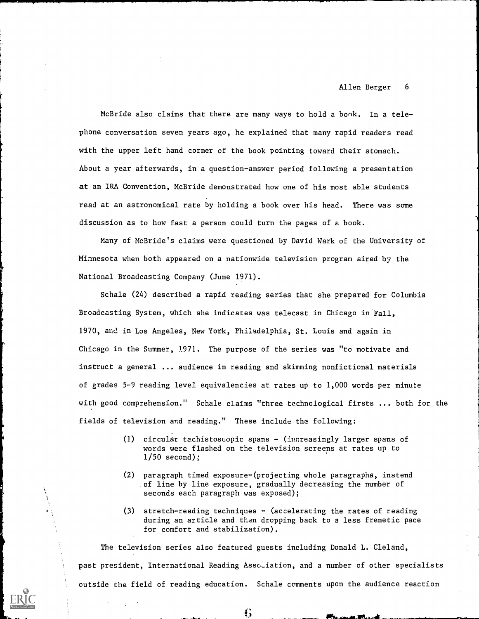McBride also claims that there are many ways to hold a bonk. In a telephone conversation seven years ago, he explained that many rapid readers read with the upper left hand corner of the book pointing toward their stomach. About a year afterwards, in a question-answer period following a presentation at an IRA Convention, McBride demonstrated how one of his most able students read at an astronomical rate by holding a book over his head. There was some discussion as to how fast a person could turn the pages of a book.

Many of McBride's claims were questioned by David Wark of the University of Minnesota when both appeared on a nationwide television program aired by the National Broadcasting Company (June 1971).

Schale (24) described a rapid reading series that she prepared for Columbia Broadcasting System, which she indicates was telecast in Chicago in Fall, 1970, and in Los Angeles, New York, Philadelphia, St. Louis and again in Chicago in the Summer, 1971. The purpose of the series was "to motivate and instruct a general ... audience in reading and skimming nonfictional materials of grades 5-9 reading level equivalencies at rates up to 1,000 words per minute with good comprehension." Schale claims "three technological firsts ... both for the fields of television and reading." These include the following:

- (1) circular tachistoscopic spans (increasingly larger spans of words were flashed on the television screens at rates up to  $1/50$  second);
- (2) paragraph timed exposure-(projecting whole paragraphs, instend .of line by line exposure, gradually decreasing the number of seconds each paragraph was exposed);
- (3) stretch-reading techniques (accelerating the rates of reading during an article and then dropping back to a less frenetic pace for comfort and stabilization).

The television series also featured guests including Donald L. Cleland, past president, International Reading Asso-iation, and a number of other specialists outside the field of reading education. Schale comments upon the audience reaction

 $f$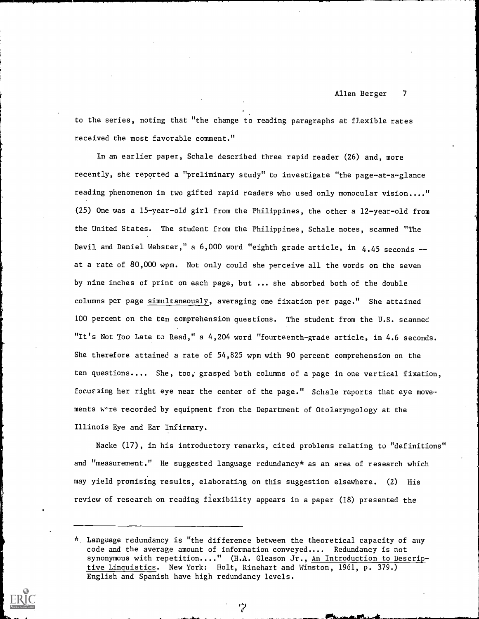to the series, noting that "the change to reading paragraphs at flexible rates received the most favorable comment."

In an earlier paper, Schale described three rapid reader (26) and, more recently, she reported a "preliminary study" to investigate "the page-at-a-glance reading phenomenon in two gifted rapid readers who used only monocular vision...." (25) One was a 15-year-old girl from the Philippines, the other a 12-year-old from the United States. The student from the Philippines, Schale notes, scanned "The Devil and Daniel Webster," a  $6,000$  word "eighth grade article, in  $4.45$  seconds -at a rate of 80,000 wpm. Not only could she perceive all the words on the seven by nine inches of print on each page, but ... she absorbed both of the double columns per page simultaneously, averaging one fixation per page." She attained 100 percent on the ten comprehension questions. The student from the U.S. scanned "It's Not Too Late to Read," a 4,204 word "fourteenth-grade article, in 4.6 seconds. She therefore attained a rate of 54,825 wpm with 90 percent comprehension on the ten questions.... She, too; grasped both columns of a page in one vertical fixation, focussing her right eye near the center of the page." Schale reports that eye movements were recorded by equipment from the Department of Otolaryngology at the Illinois Eye and Ear Infirmary.

Nacke (17), in his introductory remarks, cited problems relating to "definitions" and "measurement." He suggested language redundancy\* as an area of research which may yield promising results, elaborating on this suggestion elsewhere. (2) His review of research on reading flexibility appears in a paper (18) presented the



<sup>\*</sup> Language redundancy is "the difference between the theoretical capacity of auy code and the average amount of information conveyed.... Redundancy is not synonymous with repetition...." (H.A. Gleason Jr., An Introduction to Descriptive Linguistics. New York: Holt, Rinehart and Winston, 1961, p. 379.) English and Spanish have high redundancy levels.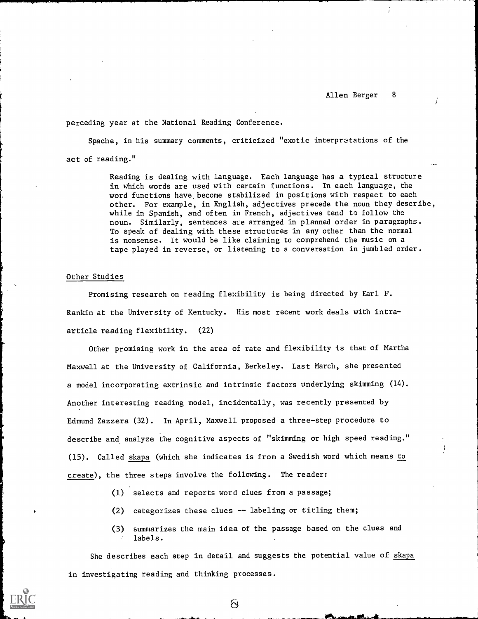perceding year at the National Reading Conference.

Spache, in his summary comments, criticized "exotic interpretations of the act of reading."

> Reading is dealing with language. Each language has a typical structure in which words are used with certain functions. In each language, the word functions have become stabilized in positions with respect to each other. For example, in English, adjectives precede the noun they describe, while in Spanish, and often in French, adjectives tend to follow the noun. Similarly, sentences are arranged in planned order in paragraphs. To speak of dealing with these structures in any other than the normal is nonsense. It would be like claiming to comprehend the music on a tape played in reverse, or listening to a conversation in jumbled order.

### Other Studies

Promising research on reading flexibility is being directed by Earl F. Rankin at the University of Kentucky. His most recent work deals with intraarticle reading flexibility. (22)

Other promising work in the area of rate and flexibility is that of Martha Maxwell at the University of California, Berkeley. Last March, she presented a model incorporating extrinsic and intrinsic factors underlying skimming (14). Another interesting reading model, incidentally, was recently presented by Edmund Zazzera (32). In April, Maxwell proposed a three-step procedure to describe and analyze the cognitive aspects of "skimming or high speed reading." (15). Called skapa (which she indicates is from a Swedish word which means to create), the three steps involve the following. The reader:

- (1) selects and reports word clues from a passage;
- (2) categorizes these clues -- labeling or titling them;
- (3) summarizes the main idea of the passage based on the clues and labels.

She describes each step in detail and suggests the potential value of skapa in investigating reading and thinking processes.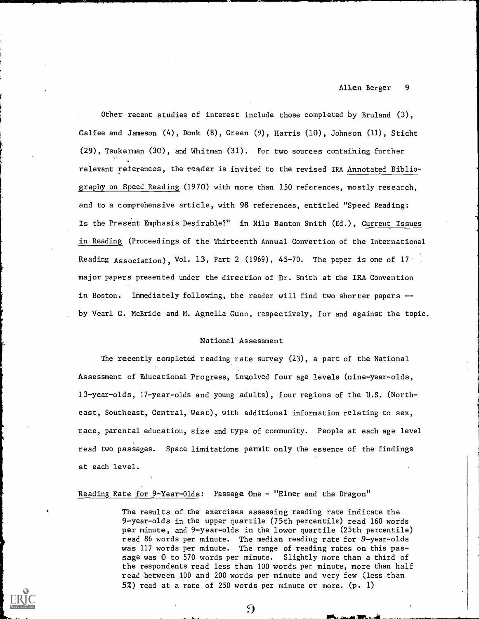Other recent studies of interest include those completed by Bruland (3), Calfee and Jameson  $(4)$ , Donk  $(8)$ , Green  $(9)$ , Harris  $(10)$ , Johnson  $(11)$ , Sticht (29), Tsukerman (30), and Whitman (31). For two sources containing further relevant references, the reader is invited to the revised IRA Annotated Biblio- , graphy on Speed Reading (1970) with more than 150 references, mostly research, and to a comprehensive article, with 98 references, entitled "Speed Reading: Is the Present Emphasis Desirable?" in Nila Banton Smith (Ed.), Current Issues in Reading (Proceedings of the Thirteenth Annual Convertion of the International Reading Association), Vol. 13, Part 2 (1969), 45-70. The paper is one of 17 major papers presented under the direction of Dr. Smtth at the IRA Convention in Boston. Immediately following, the reader will find two shorter papers -by Vearl G. McBride and M. Agnella Gunn, respectively, for and against the topic.

#### National Assessment

The recently completed reading rate survey (23), a part of the National Assessment of Educational Progress, inuplved four age levels (nine-year-olds, 13-year-olds, 17-year-olds and young adults), four regions of the U.S. (Northeast, Southeast, Central, West), with additional information relating to sex, race, parental education, size and type of community. People at each age level read two passages. Space limitations permit only the essence of the findings at each level.

# Reading Rate for 9-Year-Olds: Passage One - "Elmer and the Dragon"

The results of the exercises assessing reading rate indicate the 9-year-olds in the upper quartile (75th percentile) read 160 words per minute, and 9-year-olds in the lower quartile (25th percentile) read 86 words per minute. The median reading rate for 9-year-olds was 117 words per minute. The range of reading rates on this passage was 0 to 570 words per minute. Slightly more than a third of the respondents read less than 100 words per minute, more than half read between 100 and 200 words per minute and very few (less than 5%) read at a rate of 250 words per minute or more. (p. 1)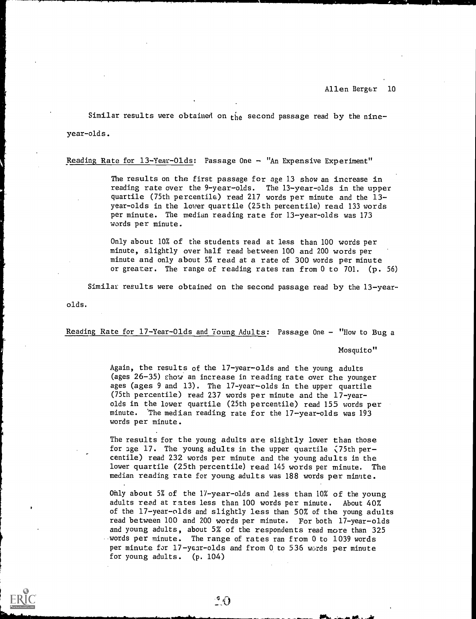Similar results were obtained on  $the$  second passage read by the nineyear-olds.

Reading Rate for  $13$ -Year-Olds: Passage One  $\sim$  "An Expensive Experiment"

The results on the first passage for age 13 show an increase in reading rate over the 9-year-olds. The 13-year-olds in the upper<br>quartile (75th percentile) read 217 words per minute and the 13-<br>year-olds in the lower quartile (25th percentile) read 133 words<br>per minute. The median read

Only about 10% of the students read at less than 100 words per minute, slightly over half read between 100 and 200 words per minute and only about 5% read at a rate of 300 words per minute or greater. The range of reading

Similar results were obtained on the second passage read by the 13-year-

olds.

Reading Rate for 17-Year-Olds and Young Adults: Passage One - "How to Bug a

Mosquito"

Again, the results of the 17-year-olds and the young adults (ages 26-35) show an increase in reading rate over the younger ages (ages 9 and 13). The 17-year-olds in the upper quartile olds in the lower quartile (25th percentile) read 155 words per minute. 'The median reading rate for the 17-year-olds was 193 words per minute.

The results for the young adults are slightly lower than those for age 17. The young adults in the upper quartile  $\zeta$ 75th per-<br>centile) read 232 words per minute and the young adults in the lower quartile (25th percentile) read 145 words per minute. The median reading rate for young adults was 188 words per minnte.

Only about 5% of the 17-year-olds and less than 10% of the young adults read at rates less than 100 words per minute. About 40% of the 17-year-olds and slightly less than 50% of the young adults read between 100 and 200 words per minute. For both 17-year-olds<br>and young adults, about 5% of the respondents read more than 325<br>words per minute. The range of rates ran from 0 to 1039 words<br>per minute for 17-year-olds an for young adults. (p. 104)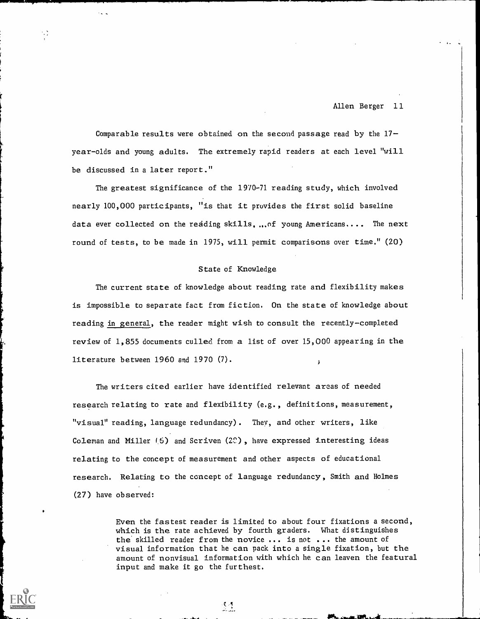Comparable results were obtained on the second passage read by the  $17$ year-olds and young adults. The extremely rapid readers at each level "will be discussed in a later report."

The greatest significance of the 1970-71 reading study, which involved nearly 100,000 participants, "is that it provides the first solid baseline data ever collected on the reading skills....of young Americans.... The next round of tests, to be made in 1975, will permit comparisons over time." (20)

## State of Knowledge

The current state of knowledge about reading rate and flexibility makes is impossible to separate fact from fiction. On the state of knowledge about reading in general, the reader might wish to consult the recently-completed review of 1,855 documents culled from a list of over 15,000 appearing in the literature between 1960 and 1970 (7).

The writers cited earlier have identified relevant areas of needed research relating to rate and flexibility (e.g., definitions, measurement, "visual" reading, language redundancy). They, and other writers, like Coleman and Miller  $(6)$  and Scriven  $(20)$ , have expressed interesting ideas relating to the concept of measurement and other aspects of educational research. Relating to the concept of language redundancy, Smith and Holmes (27) have observed:

> Even the fastest reader is limited to about four fixations a second, which is the rate achieved by fourth graders. What distinguishes the skilled reader from the novice ... is not ... the amount of visual information that he can pack into a single fixation, but the amount of nonvisual information with which he. can leaven the featural input and make it go the furthest.

> > $\frac{1}{2}$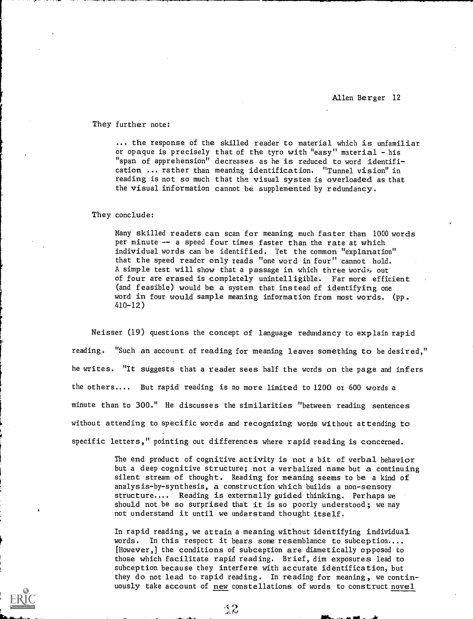They further note:

... the response of the skilled reader to material which is unfamiliar or opaque is precisely that of the tyro with "easy" material - his "span of apprehension" decreases as he is reduced to word identification ... rather than meaning identification. "Tunnel vision" in reading is not so much that the visual system is overloaded as that the visual information cannot be supplemented by redundancy.

They conclude:

Many skilled readers can scan for meaning much faster than 1000 words per minute -- a speed four times faster than the rate at which individual words can be identified. Yet the common "explanation" that the speed reader only reads "one word in four" cannot hold. A simple test will show that a passage in which three words out of four are erased is completely unintelligible. Far more efficient (and feasible) would be a system that instead of identifying one word in four would sample meaning information from most words. (pp. 410-12)

Neisser (19) questions the concept of language redundancy to explain rapid reading. "Such an account of reading for meaning leaves something to be desired," he writes. "It suggests that a reader sees half the words on the page and infers the others.... But rapid reading is no more limited to 1200 or 600 words a minute than to 300." He discusses the similarities "between reading sentences without attending to specific words and recognizing words without attending to specific letters," pointing out differences where rapid reading is concerned.

> The end product of cognitive activity is not a bit of verbal behavior but a deep cognitive structure; not a verbalized name but a continuing silent stream of thought. Reading for meaning seems to be a kind of analysis-by-synthesis, a construction which builds a non-sensory structure.... Reading is externally guided thinking. Perhaps we should not be so surprised that it is so poorly understood; we may not understand it until we understand thought itself.

> In rapid reading, we attain a meaning without identifying individual words. In this respect it bears some resemblance to subception.... [However,] the conditions of subception are diametically opposed to those which facilitate rapid reading. Brief, dim exposures lead to subception because they interfere with accurate identification, but they do not lead to rapid reading. In reading for meaning, we continuously take account of new constellations of words to construct novel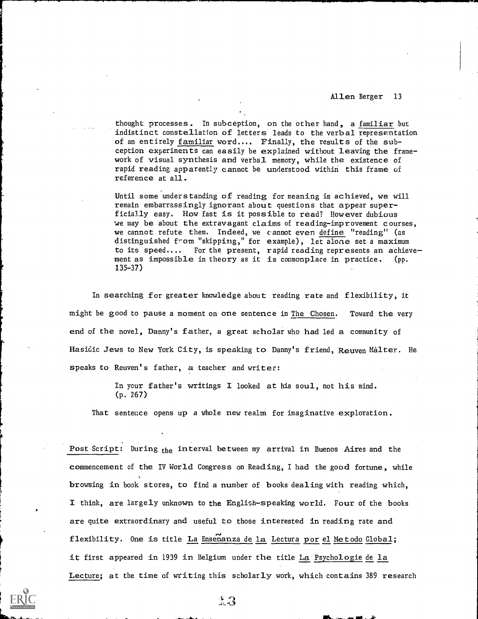thought processes. In subception, on the other hand, a familiar but indistinct constellation of letters leads to the verbal representation of an entirely familiar word.... Finally, the results of the subception experiments can easily be explained without leaving the framework of visual synthesis and verbal memory, while the existence of rapid reading apparently cannot be understood within this frame of reference at all.

Until some understanding of reading for meaning is achieved, we will remain embarrassingly ignorant about questions that appear superficially easy. How fast is it possible to read? However dubious we may be about the extravagant claims of reading-improvement courses, we cannot refute them. Indeed, we cannot even define "reading" (as distinguished from "skipping," for example), let alone set a maximum to its speed.... For the present, rapid reading represents an achieve ment as impossible in theory as it is commonplace in practice. (pp. 135-37)

In searching for greater knowledge about reading rate and flexibility, it might be good to pause a moment on one sentence in The Chosen. Toward the very end of the novel, Danny's father, a great scholar who had led a community of Hasidic Jews to New York City, is speaking to Danny's friend, Reuven Malter. He speaks to Reuven's father, a teacher and writer:

> In your father's writings I looked at his soul, not his mind. (p. 267)

That sentence opens up a whole new realm for imaginative exploration.

Post Script: During the interval between my arrival in Buenos Aires and the commencement of the IV World Congress on Reading, I had the good fortune, while browsing in book stores, to find a number of books dealing with reading which, I think, are largely unknown to the English-speaking world. Four of the books are quite extraordinary and useful to those interested in reading rate and flexibility. One is title La Ensenanza de la Lectura por el Metodo Global; it first appeared in 1939 in Belgium under the title La Psychologie de la Lecture; at the time of writing this scholarly work, which contains 389 research

 $\mathcal{L}$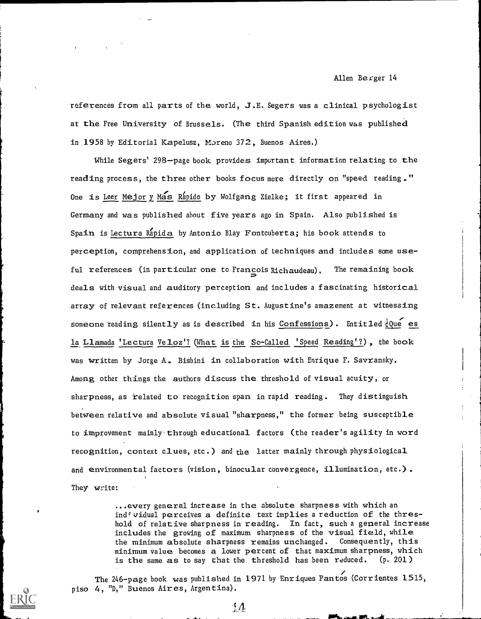references from all parts of the world, J.E. Segers was a clinical psychologist at the Free University of Brussels. (The third Spanish edition was published in 1958 by Editorial Kapelusz, Moreno 372, Buenos Aires.)

While Segers' 298-page book provides important information relating to the reading process, the three other books focus more directly on "speed reading." One is Leer Mejor y Mas Rápido by Wolfgang Zielke; it first appeared in Germany and was published about five years ago in Spain. Also published is Spain is Lectura Rapida by Antonio Blay Fontcuberta; his book attends to perception, comprehension, and application of techniques and includes some useful references (in particular one to Francois Richaudeau). The remaining book deals with visual and auditory perception and includes a fascinating historical array of relevant references (including St. Augustine's amazement at witnessing someone reading silently as is described in his Confessions). Entitled  $Que$  es la Llamada 'Lectura Veloz'? (What is the So-Called 'Speed Reading'?) , the book was written by Jorge A. Bisbini in collaboration with Enrique F. Savransky. Among other things the authors discuss the threshold of visual acuity, or sharpness, as related to recognition span in rapid reading. They distinguish between relative and absolute visual "sharpness," the former being susceptible to improvement mainly through educational factors (the reader's agility in word recognition, context clues, etc.) and the latter mainly through physiological and environmental factors (vision, binocular convergence, illumination, etc.) . They write:

> ...every general increase in the absolute sharpness with which an ind<sup>t</sup> vidual perceives a definite text implies a reduction of the thres-<br>hold of relative sharpness in reading. In fact, such a general increase includes the growing of maximum sharpness of the visual field, while<br>the minimum absolute sharpness remains unchanged. Consequently, this the minimum absolute sharpness remains unchanged. minimum value becomes a lower percent of that maximum sharpness, which is the same as to say that the threshold has been reduced. (p. 201 )

The 246-page book was published in 1971 by Enriques Pantos (Corrientes 1515, piso 4, "D," Buenos Aires, Argentina).

 $4\Lambda$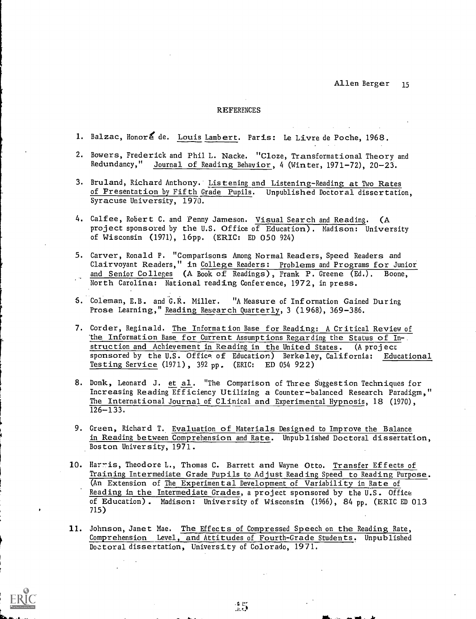#### **REFERENCES**

- 1. Balzac, Honoré de. Louis Lambert. Paris: Le Livre de Poche, 1968.
- 2. Bowers, Frederick and Phil L. Nacke. "Cloze, Transformational Theory and Redundancy," Journal of Reading Behavior, 4 (Winter, 1971-72), 20-23.
- 3. Bruland, Richard Anthony. Listening and Listening-Reading at Two Rates of Presentation by Fifth Grade Pupils. Unpublished Doctoral dissertation, Syracuse University, 1970.
- 4. Calfee, Robert C. and Penny Jameson. Visual Search and Reading. (A project sponsored by the U.S. Office of Education). Madison: University of Wisconsin (1971), 16pp. (ERIC: ED 050 924)
- 5. Carver, Ronald P. "Comparisons Among Normal Readers, Speed Readers and Clairvoyant Readers," in College Readers: Problems and Programs for Junior and Senior Colleges (A Book of Readings), Frank P. Greene (Ed.). Boone, North Carolina: National reading Conference, 1972, in press.
- 6. Coleman, E.B. and G.R. Miller. "A Measure of Information Gained During Prose Learning," Reading Research Quarterly, 3 (1 968), 369-386.
- 7. Corder, Reginald. The Information Base for Reading: A Critical Review of the Information Base for Current Assumptions Regarding the Status of Instruction and Achievement in Reading in the United States. (A project sponsored by the U.S. Office of Education) Berkeley, California: Educational Testing Service (1971), 392 pp. (ERIC: ED 054 922)
- 8. Donk, Leonard J. et al. "The Comparison of Three Suggestion Techniques for<br>Increasing Reading Efficiency Utilizing a Counter-balanced Research Paradigm,"<br>The International Journal of Clinical and Experimental Hypnosis,
- 9. Green, Richard T. Evaluation of Materials Designed to Improve the Balance in Reading between Comprehension and Rate. Unpublished Doctoral dissertation, Boston University, 1971.
- 10. Harris, Theodore L., Thomas C. Barrett and Wayne Otto. Transfer Effects of Training Intermediate Grade Pupils to Adjust Reading Speed to Reading Purpose. (An Extension of The Experimental Development of Variability in Rate of<br>Reading in the Intermediate Grades, a project sponsored by the U.S. Office<br>of Education). Madison: University of Wisconsin (1966), 84 pp. (ERIC ED 013 715)
- 11. Johnson, Janet Mae. The Effects of Compressed Speech on the Reading Rate, Comprehension Level, and Attitudes of Fourth-Grade Students. Unpublished Doctoral dissertation, University of Colorado, 1971.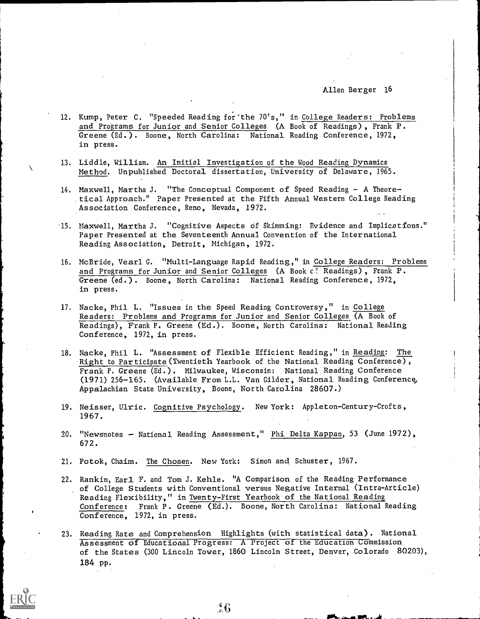- 12. Kump, Peter C. "Speeded Reading for the 70's," in College Readers: Problems and Programs for Junior and Senior Colleges (A Book of Readings) , Frank P. Greene (Ed.). Boone, North Carolina: National Reading Conference, 1972, in press.
- 13. Liddle, William. An Initial Investigation of the Wood Reading Dynamics Method. Unpublished Doctoral dissertation, University of Delaware, 1965.
- 14. Maxwell, Martha J. "The Conceptual Component of Speed Reading A Theoretical Approach." Paper Presented at the Fifth Annual Western College Reading Association Conference, Reno, Nevada, 1972.
- 15. Maxwell, Martha J. "Cognitive Aspects of Skimming: Evidence and Implications." Paper Presented at the Seventeenth Annual Convention of the International Reading Association, Detroit, Michigan, 1972.
- 16. McBride, Vearl G. "Multi-Language Rapid Reading,'' in College Readers: Problems and Programs for Junior and Senior Colleges (A Book c. Readings), Frank P. Greene (ed.) . Boone, North Carolina: National Reading Conference, 1972, in press.
- 17. Nacke, Phil L. "Issues in the Speed Reading Controversy," in College Readers: Problems and Programs for Junior and Senior Colleges (A Book of Readings), Frank P. Greene (Ed.). Boone, North Carolina: National Reading Conference, 1972, in press.
- 18. Macke, Phil L. "Assessment of Flexible Efficient Reading,'' in Reading: The Right to Participate (Twentieth Yearbook of the National Reading Conference), Frank P. Greene (Ed.). Milwaukee, Wisconsin: National Reading Conference (1971) 256-165. (Available From L.L. Van Gilder, National Reading Conference, Appalachian State University, Boone, North Carolina 28607.)
- 19. Neisser, Ulric. Cognitive Psychology. New York: Appleton-Century-Crofts, 1967.
- 20. "Newsnotes National Reading Assessment," Phi Delta Kappan, 53 (June 1972), 67 2.
- 21. Potok, Chaim. The Chosen. New York: Simon and Schuster, 1967.
- 22. Rankin, Earl F. and Tom J. Kehle. "A Comparison of the Reading Performance of College Students with Conventional versus Negative Internal (Intra-Article) Reading Flexibility," in Twenty-First Yearbook of the National Reading Conference: Frank P. Greene (Ed.). Boone, North Carolina: National Reading Conference, 1972, in press.
- 23. Reading Rate and Comprehension Highlights (with statistical data). National Assessment of Educational Progress: A Project of the Education Commission of the States (300 Lincoln Tower, 1860 Lincoln Street, Denver, Colorado 80203), 184 pp.